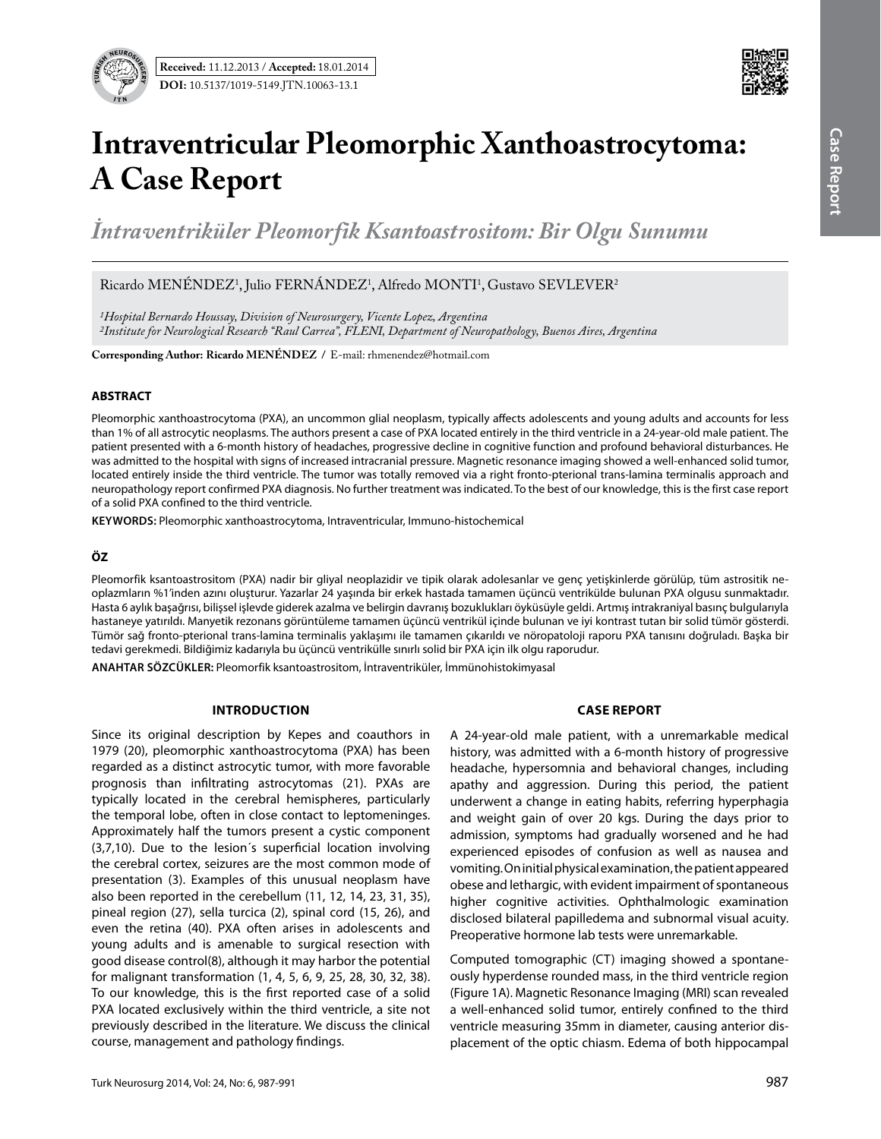

# **Intraventricular Pleomorphic Xanthoastrocytoma: A Case Report**

*İntraventriküler Pleomorfik Ksantoastrositom: Bir Olgu Sunumu* 

Ricardo MENENDEZ<sup>1</sup>, Julio FERNANDEZ<sup>1</sup>, Alfredo MONTI<sup>1</sup>, Gustavo SEVLEVER<sup>2</sup>

*1Hospital Bernardo Houssay, Division of Neurosurgery, Vicente Lopez, Argentina 2Institute for Neurological Research "Raul Carrea", FLENI, Department of Neuropathology, Buenos Aires, Argentina*

**Corresponding Author: Ricardo MENÉNDEZ / E-mail: rhmenendez@hotmail.com** 

## **ABSTRACT**

Pleomorphic xanthoastrocytoma (PXA), an uncommon glial neoplasm, typically affects adolescents and young adults and accounts for less than 1% of all astrocytic neoplasms. The authors present a case of PXA located entirely in the third ventricle in a 24-year-old male patient. The patient presented with a 6-month history of headaches, progressive decline in cognitive function and profound behavioral disturbances. He was admitted to the hospital with signs of increased intracranial pressure. Magnetic resonance imaging showed a well-enhanced solid tumor, located entirely inside the third ventricle. The tumor was totally removed via a right fronto-pterional trans-lamina terminalis approach and neuropathology report confirmed PXA diagnosis. No further treatment was indicated. To the best of our knowledge, this is the first case report of a solid PXA confined to the third ventricle.

**Keywords:** Pleomorphic xanthoastrocytoma, Intraventricular, Immuno-histochemical

## **ÖZ**

Pleomorfik ksantoastrositom (PXA) nadir bir gliyal neoplazidir ve tipik olarak adolesanlar ve genç yetişkinlerde görülüp, tüm astrositik neoplazmların %1'inden azını oluşturur. Yazarlar 24 yaşında bir erkek hastada tamamen üçüncü ventrikülde bulunan PXA olgusu sunmaktadır. Hasta 6 aylık başağrısı, bilişsel işlevde giderek azalma ve belirgin davranış bozuklukları öyküsüyle geldi. Artmış intrakraniyal basınç bulgularıyla hastaneye yatırıldı. Manyetik rezonans görüntüleme tamamen üçüncü ventrikül içinde bulunan ve iyi kontrast tutan bir solid tümör gösterdi. Tümör sağ fronto-pterional trans-lamina terminalis yaklaşımı ile tamamen çıkarıldı ve nöropatoloji raporu PXA tanısını doğruladı. Başka bir tedavi gerekmedi. Bildiğimiz kadarıyla bu üçüncü ventrikülle sınırlı solid bir PXA için ilk olgu raporudur.

**ANAHTAR SÖZCÜKLER:** Pleomorfik ksantoastrositom, İntraventriküler, İmmünohistokimyasal

## **Introduction**

Since its original description by Kepes and coauthors in 1979 (20), pleomorphic xanthoastrocytoma (PXA) has been regarded as a distinct astrocytic tumor, with more favorable prognosis than infiltrating astrocytomas (21). PXAs are typically located in the cerebral hemispheres, particularly the temporal lobe, often in close contact to leptomeninges. Approximately half the tumors present a cystic component (3,7,10). Due to the lesion´s superficial location involving the cerebral cortex, seizures are the most common mode of presentation (3). Examples of this unusual neoplasm have also been reported in the cerebellum (11, 12, 14, 23, 31, 35), pineal region (27), sella turcica (2), spinal cord (15, 26), and even the retina (40). PXA often arises in adolescents and young adults and is amenable to surgical resection with good disease control(8), although it may harbor the potential for malignant transformation (1, 4, 5, 6, 9, 25, 28, 30, 32, 38). To our knowledge, this is the first reported case of a solid PXA located exclusively within the third ventricle, a site not previously described in the literature. We discuss the clinical course, management and pathology findings.

## **Case report**

A 24-year-old male patient, with a unremarkable medical history, was admitted with a 6-month history of progressive headache, hypersomnia and behavioral changes, including apathy and aggression. During this period, the patient underwent a change in eating habits, referring hyperphagia and weight gain of over 20 kgs. During the days prior to admission, symptoms had gradually worsened and he had experienced episodes of confusion as well as nausea and vomiting. On initial physical examination, the patient appeared obese and lethargic, with evident impairment of spontaneous higher cognitive activities. Ophthalmologic examination disclosed bilateral papilledema and subnormal visual acuity. Preoperative hormone lab tests were unremarkable.

Computed tomographic (CT) imaging showed a spontaneously hyperdense rounded mass, in the third ventricle region (Figure 1A). Magnetic Resonance Imaging (MRI) scan revealed a well-enhanced solid tumor, entirely confined to the third ventricle measuring 35mm in diameter, causing anterior displacement of the optic chiasm. Edema of both hippocampal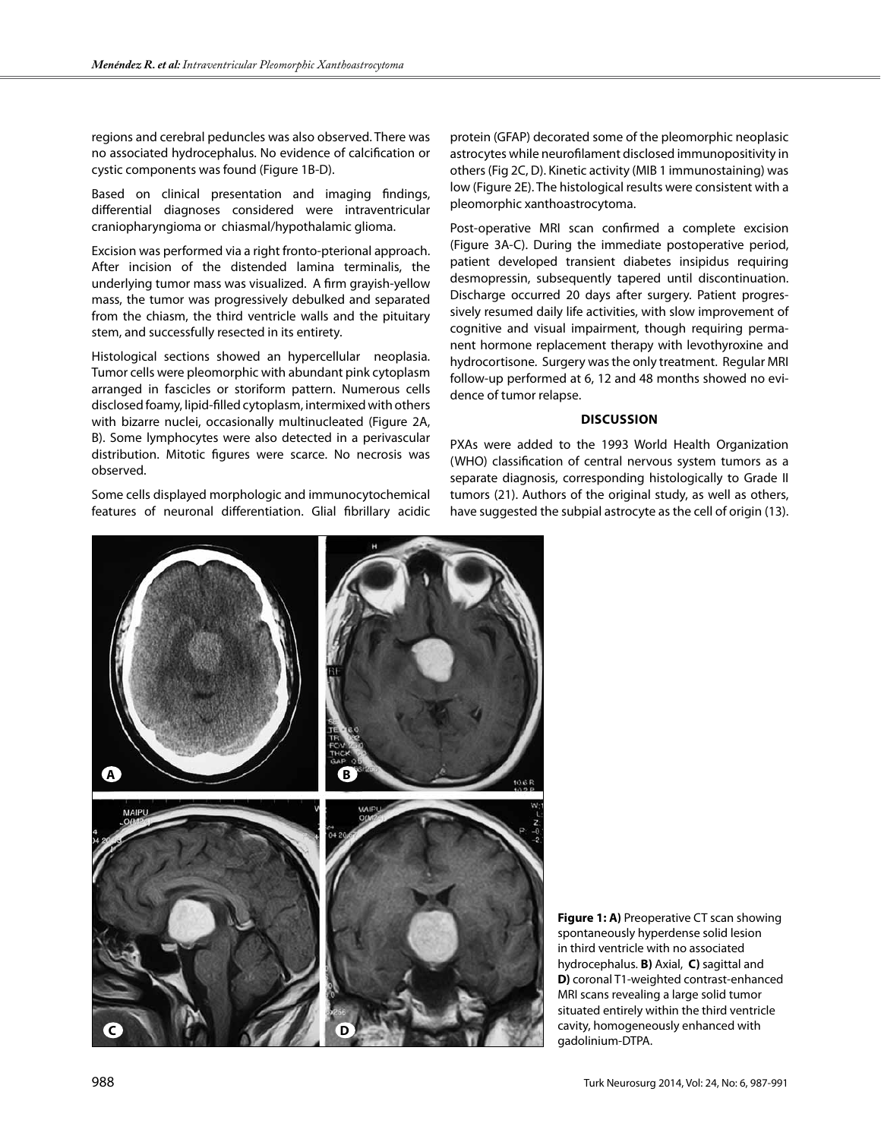regions and cerebral peduncles was also observed. There was no associated hydrocephalus. No evidence of calcification or cystic components was found (Figure 1B-D).

Based on clinical presentation and imaging findings, differential diagnoses considered were intraventricular craniopharyngioma or chiasmal/hypothalamic glioma.

Excision was performed via a right fronto-pterional approach. After incision of the distended lamina terminalis, the underlying tumor mass was visualized. A firm grayish-yellow mass, the tumor was progressively debulked and separated from the chiasm, the third ventricle walls and the pituitary stem, and successfully resected in its entirety.

Histological sections showed an hypercellular neoplasia. Tumor cells were pleomorphic with abundant pink cytoplasm arranged in fascicles or storiform pattern. Numerous cells disclosed foamy, lipid-filled cytoplasm, intermixed with others with bizarre nuclei, occasionally multinucleated (Figure 2A, B). Some lymphocytes were also detected in a perivascular distribution. Mitotic figures were scarce. No necrosis was observed.

Some cells displayed morphologic and immunocytochemical features of neuronal differentiation. Glial fibrillary acidic

protein (GFAP) decorated some of the pleomorphic neoplasic astrocytes while neurofilament disclosed immunopositivity in others (Fig 2C, D). Kinetic activity (MIB 1 immunostaining) was low (Figure 2E). The histological results were consistent with a pleomorphic xanthoastrocytoma.

Post-operative MRI scan confirmed a complete excision (Figure 3A-C). During the immediate postoperative period, patient developed transient diabetes insipidus requiring desmopressin, subsequently tapered until discontinuation. Discharge occurred 20 days after surgery. Patient progressively resumed daily life activities, with slow improvement of cognitive and visual impairment, though requiring permanent hormone replacement therapy with levothyroxine and hydrocortisone. Surgery was the only treatment. Regular MRI follow-up performed at 6, 12 and 48 months showed no evidence of tumor relapse.

#### **Discussion**

PXAs were added to the 1993 World Health Organization (WHO) classification of central nervous system tumors as a separate diagnosis, corresponding histologically to Grade II tumors (21). Authors of the original study, as well as others, have suggested the subpial astrocyte as the cell of origin (13).



**Figure 1: A)** Preoperative CT scan showing spontaneously hyperdense solid lesion in third ventricle with no associated hydrocephalus. **B)** Axial, **C)** sagittal and **D)** coronal T1-weighted contrast-enhanced MRI scans revealing a large solid tumor situated entirely within the third ventricle cavity, homogeneously enhanced with gadolinium-DTPA.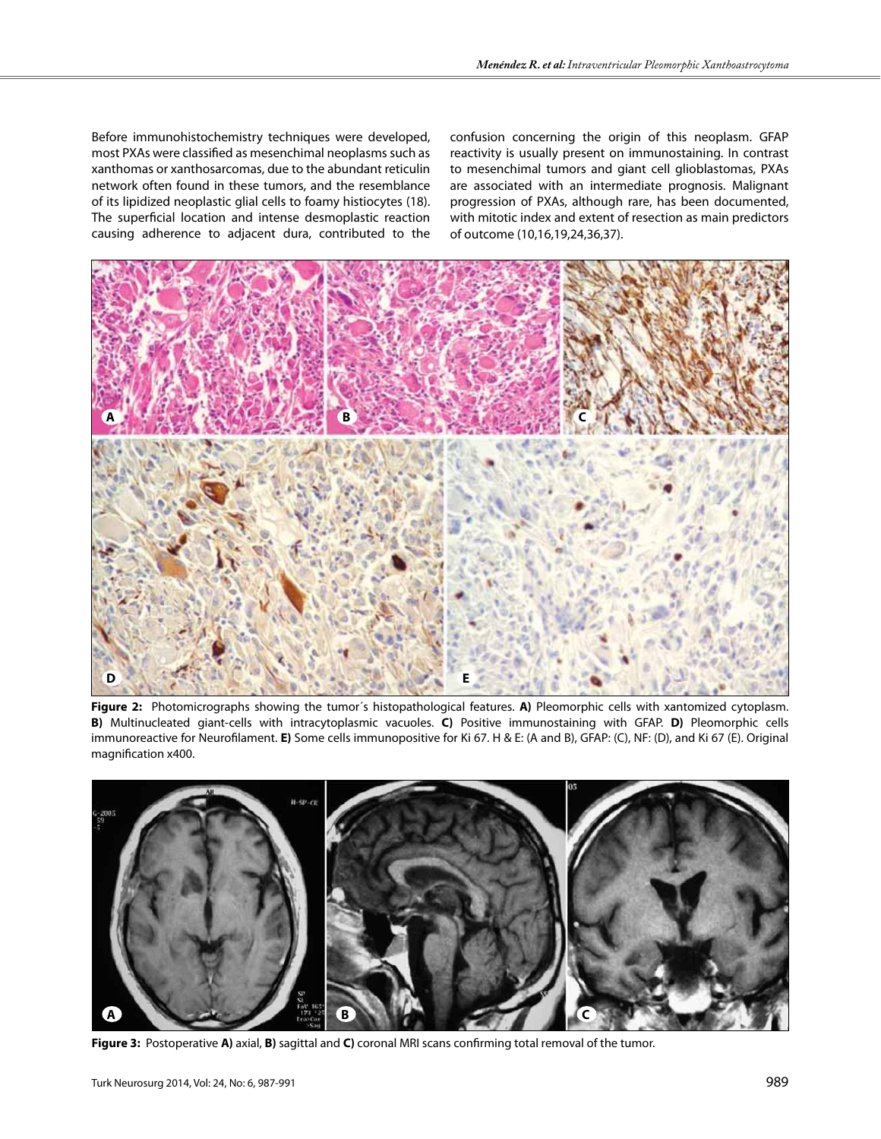Before immunohistochemistry techniques were developed, most PXAs were classified as mesenchimal neoplasms such as xanthomas or xanthosarcomas, due to the abundant reticulin network often found in these tumors, and the resemblance of its lipidized neoplastic glial cells to foamy histiocytes (18). The superficial location and intense desmoplastic reaction causing adherence to adjacent dura, contributed to the

confusion concerning the origin of this neoplasm. GFAP reactivity is usually present on immunostaining. In contrast to mesenchimal tumors and giant cell glioblastomas, PXAs are associated with an intermediate prognosis. Malignant progression of PXAs, although rare, has been documented, with mitotic index and extent of resection as main predictors of outcome (10,16,19,24,36,37).



**Figure 2:** Photomicrographs showing the tumor´s histopathological features. **A)** Pleomorphic cells with xantomized cytoplasm. **B)** Multinucleated giant-cells with intracytoplasmic vacuoles. **C)** Positive immunostaining with GFAP. **D)** Pleomorphic cells immunoreactive for Neurofilament. **E)** Some cells immunopositive for Ki 67. H & E: (A and B), GFAP: (C), NF: (D), and Ki 67 (E). Original magnification x400.



**Figure 3:** Postoperative **A)** axial, **B)** sagittal and **C)** coronal MRI scans confirming total removal of the tumor.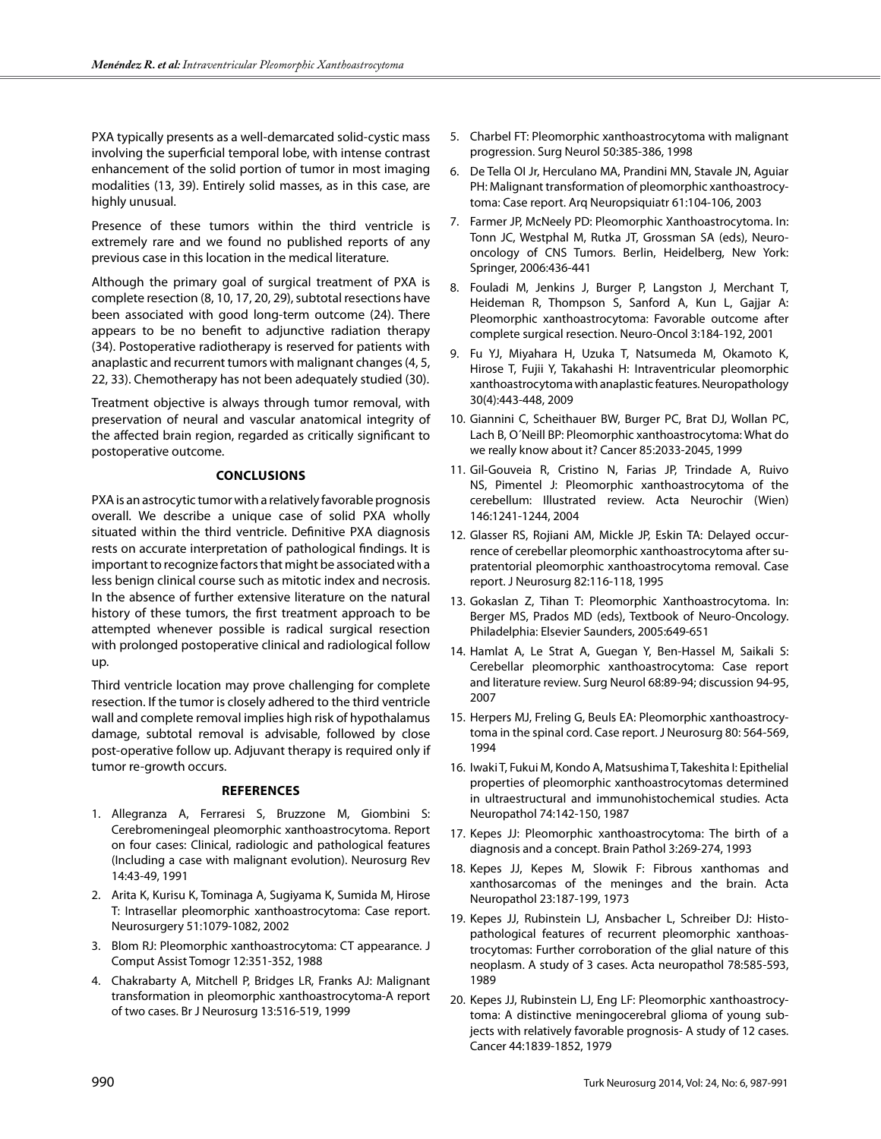PXA typically presents as a well-demarcated solid-cystic mass involving the superficial temporal lobe, with intense contrast enhancement of the solid portion of tumor in most imaging modalities (13, 39). Entirely solid masses, as in this case, are highly unusual.

Presence of these tumors within the third ventricle is extremely rare and we found no published reports of any previous case in this location in the medical literature.

Although the primary goal of surgical treatment of PXA is complete resection (8, 10, 17, 20, 29), subtotal resections have been associated with good long-term outcome (24). There appears to be no benefit to adjunctive radiation therapy (34). Postoperative radiotherapy is reserved for patients with anaplastic and recurrent tumors with malignant changes (4, 5, 22, 33). Chemotherapy has not been adequately studied (30).

Treatment objective is always through tumor removal, with preservation of neural and vascular anatomical integrity of the affected brain region, regarded as critically significant to postoperative outcome.

#### **Conclusions**

PXA is an astrocytic tumor with a relatively favorable prognosis overall. We describe a unique case of solid PXA wholly situated within the third ventricle. Definitive PXA diagnosis rests on accurate interpretation of pathological findings. It is important to recognize factors that might be associated with a less benign clinical course such as mitotic index and necrosis. In the absence of further extensive literature on the natural history of these tumors, the first treatment approach to be attempted whenever possible is radical surgical resection with prolonged postoperative clinical and radiological follow up.

Third ventricle location may prove challenging for complete resection. If the tumor is closely adhered to the third ventricle wall and complete removal implies high risk of hypothalamus damage, subtotal removal is advisable, followed by close post-operative follow up. Adjuvant therapy is required only if tumor re-growth occurs.

#### **References**

- 1. Allegranza A, Ferraresi S, Bruzzone M, Giombini S: Cerebromeningeal pleomorphic xanthoastrocytoma. Report on four cases: Clinical, radiologic and pathological features (Including a case with malignant evolution). Neurosurg Rev 14:43-49, 1991
- 2. Arita K, Kurisu K, Tominaga A, Sugiyama K, Sumida M, Hirose T: Intrasellar pleomorphic xanthoastrocytoma: Case report. Neurosurgery 51:1079-1082, 2002
- 3. Blom RJ: Pleomorphic xanthoastrocytoma: CT appearance. J Comput Assist Tomogr 12:351-352, 1988
- 4. Chakrabarty A, Mitchell P, Bridges LR, Franks AJ: Malignant transformation in pleomorphic xanthoastrocytoma-A report of two cases. Br J Neurosurg 13:516-519, 1999
- 5. Charbel FT: Pleomorphic xanthoastrocytoma with malignant progression. Surg Neurol 50:385-386, 1998
- 6. De Tella OI Jr, Herculano MA, Prandini MN, Stavale JN, Aguiar PH: Malignant transformation of pleomorphic xanthoastrocytoma: Case report. Arq Neuropsiquiatr 61:104-106, 2003
- 7. Farmer JP, McNeely PD: Pleomorphic Xanthoastrocytoma. In: Tonn JC, Westphal M, Rutka JT, Grossman SA (eds), Neurooncology of CNS Tumors. Berlin, Heidelberg, New York: Springer, 2006:436-441
- 8. Fouladi M, Jenkins J, Burger P, Langston J, Merchant T, Heideman R, Thompson S, Sanford A, Kun L, Gajjar A: Pleomorphic xanthoastrocytoma: Favorable outcome after complete surgical resection. Neuro-Oncol 3:184-192, 2001
- 9. Fu YJ, Miyahara H, Uzuka T, Natsumeda M, Okamoto K, Hirose T, Fujii Y, Takahashi H: Intraventricular pleomorphic xanthoastrocytoma with anaplastic features. Neuropathology 30(4):443-448, 2009
- 10. Giannini C, Scheithauer BW, Burger PC, Brat DJ, Wollan PC, Lach B, O´Neill BP: Pleomorphic xanthoastrocytoma: What do we really know about it? Cancer 85:2033-2045, 1999
- 11. Gil-Gouveia R, Cristino N, Farias JP, Trindade A, Ruivo NS, Pimentel J: Pleomorphic xanthoastrocytoma of the cerebellum: Illustrated review. Acta Neurochir (Wien) 146:1241-1244, 2004
- 12. Glasser RS, Rojiani AM, Mickle JP, Eskin TA: Delayed occurrence of cerebellar pleomorphic xanthoastrocytoma after supratentorial pleomorphic xanthoastrocytoma removal. Case report. J Neurosurg 82:116-118, 1995
- 13. Gokaslan Z, Tihan T: Pleomorphic Xanthoastrocytoma. In: Berger MS, Prados MD (eds), Textbook of Neuro-Oncology. Philadelphia: Elsevier Saunders, 2005:649-651
- 14. Hamlat A, Le Strat A, Guegan Y, Ben-Hassel M, Saikali S: Cerebellar pleomorphic xanthoastrocytoma: Case report and literature review. Surg Neurol 68:89-94; discussion 94-95, 2007
- 15. Herpers MJ, Freling G, Beuls EA: Pleomorphic xanthoastrocytoma in the spinal cord. Case report. J Neurosurg 80: 564-569, 1994
- 16. Iwaki T, Fukui M, Kondo A, Matsushima T, Takeshita I: Epithelial properties of pleomorphic xanthoastrocytomas determined in ultraestructural and immunohistochemical studies. Acta Neuropathol 74:142-150, 1987
- 17. Kepes JJ: Pleomorphic xanthoastrocytoma: The birth of a diagnosis and a concept. Brain Pathol 3:269-274, 1993
- 18. Kepes JJ, Kepes M, Slowik F: Fibrous xanthomas and xanthosarcomas of the meninges and the brain. Acta Neuropathol 23:187-199, 1973
- 19. Kepes JJ, Rubinstein LJ, Ansbacher L, Schreiber DJ: Histopathological features of recurrent pleomorphic xanthoastrocytomas: Further corroboration of the glial nature of this neoplasm. A study of 3 cases. Acta neuropathol 78:585-593, 1989
- 20. Kepes JJ, Rubinstein LJ, Eng LF: Pleomorphic xanthoastrocytoma: A distinctive meningocerebral glioma of young subjects with relatively favorable prognosis- A study of 12 cases. Cancer 44:1839-1852, 1979